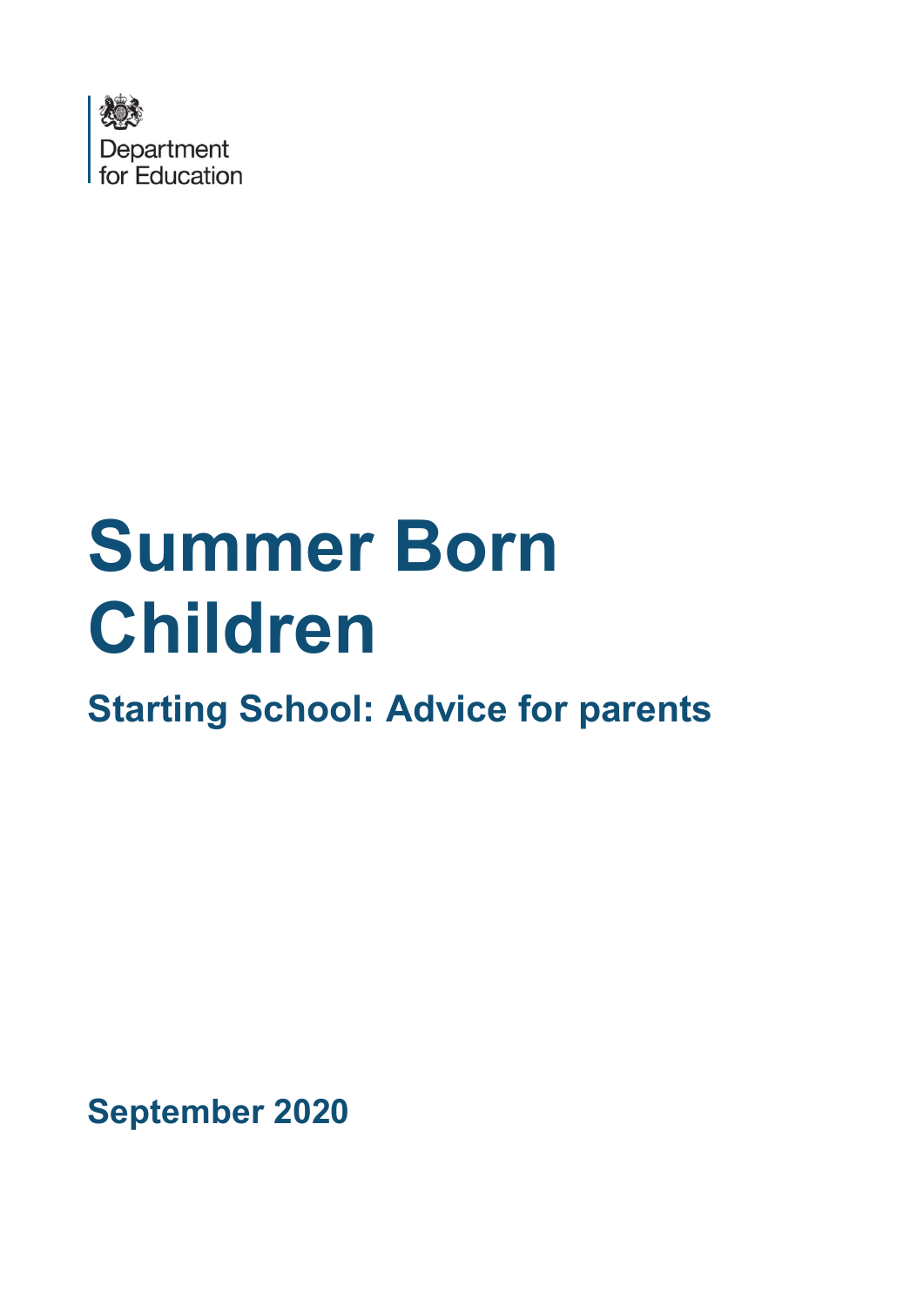

# **Summer Born Children**

**Starting School: Advice for parents** 

**September 2020**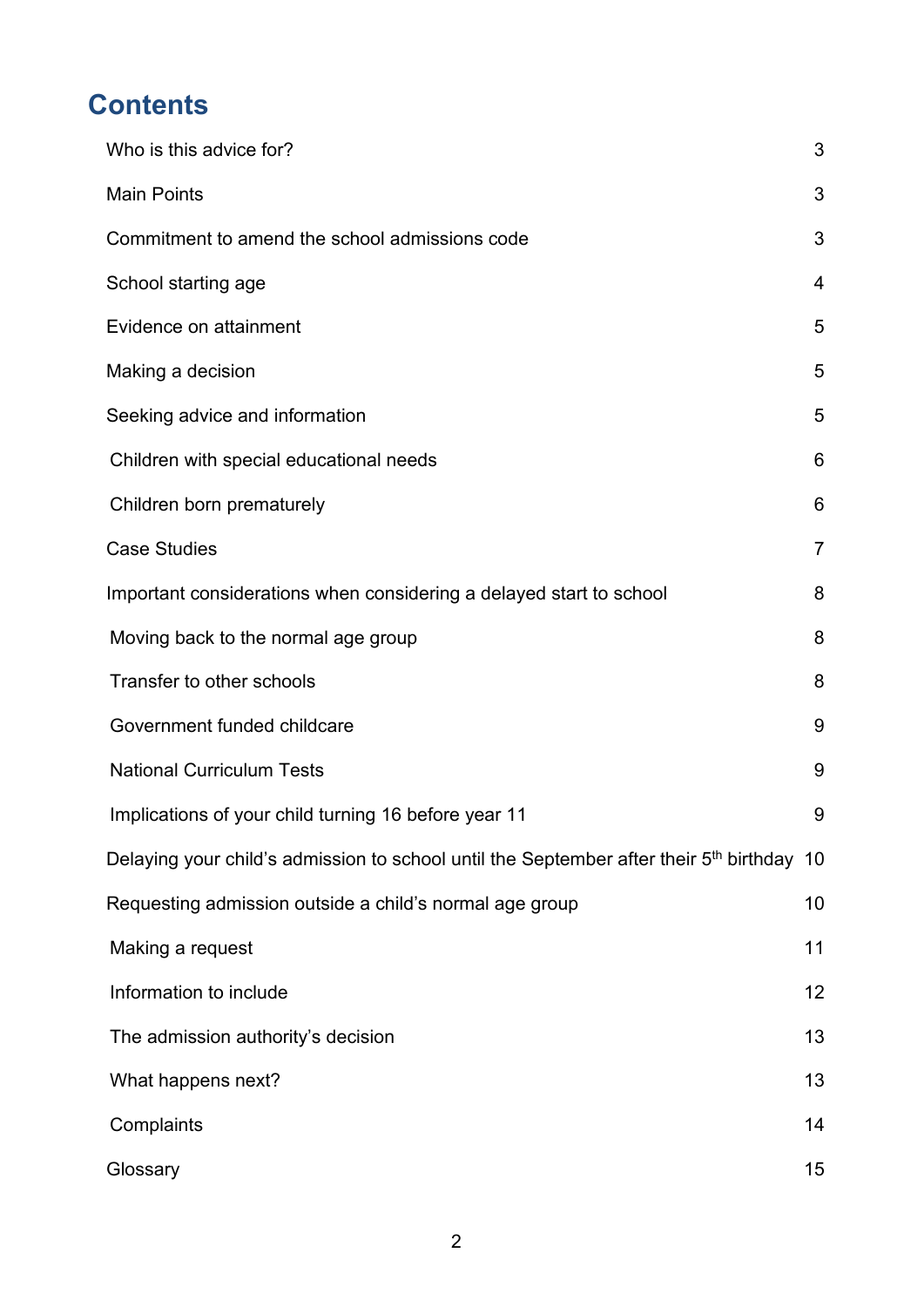# **Contents**

| Who is this advice for?                                                                               | 3              |
|-------------------------------------------------------------------------------------------------------|----------------|
| <b>Main Points</b>                                                                                    | 3              |
| Commitment to amend the school admissions code                                                        | 3              |
| School starting age                                                                                   | $\overline{4}$ |
| Evidence on attainment                                                                                | 5              |
| Making a decision                                                                                     | 5              |
| Seeking advice and information                                                                        | 5              |
| Children with special educational needs                                                               | 6              |
| Children born prematurely                                                                             | 6              |
| <b>Case Studies</b>                                                                                   | $\overline{7}$ |
| Important considerations when considering a delayed start to school                                   | 8              |
| Moving back to the normal age group                                                                   | 8              |
| Transfer to other schools                                                                             | 8              |
| Government funded childcare                                                                           | 9              |
| <b>National Curriculum Tests</b>                                                                      | 9              |
| Implications of your child turning 16 before year 11                                                  | 9              |
| Delaying your child's admission to school until the September after their 5 <sup>th</sup> birthday 10 |                |
| Requesting admission outside a child's normal age group                                               | 10             |
| Making a request                                                                                      | 11             |
| Information to include                                                                                | 12             |
| The admission authority's decision                                                                    | 13             |
| What happens next?                                                                                    | 13             |
| Complaints                                                                                            | 14             |
| Glossary                                                                                              | 15             |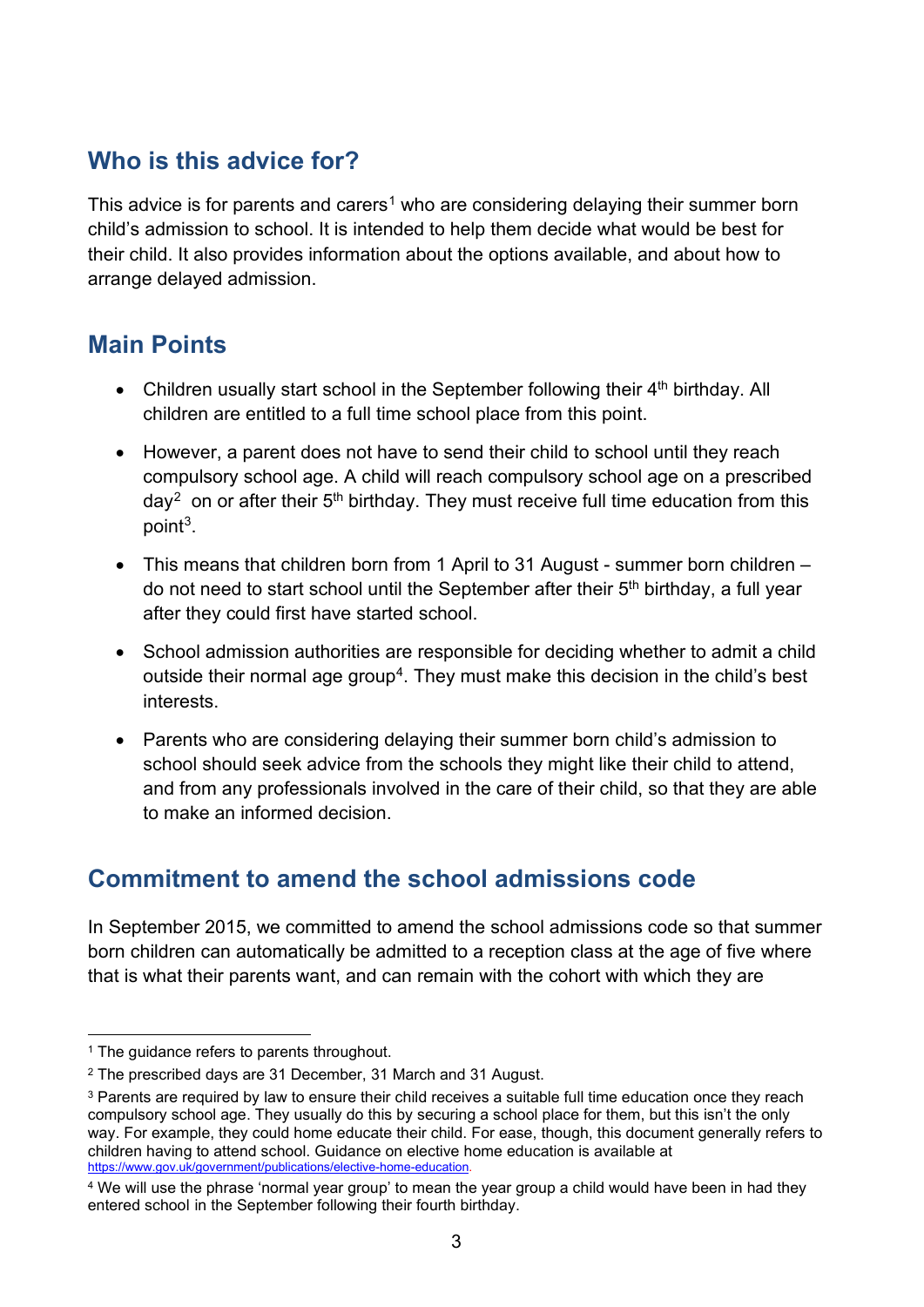## <span id="page-2-0"></span>**Who is this advice for?**

This advice is for parents and carers<sup>[1](#page-2-3)</sup> who are considering delaying their summer born child's admission to school. It is intended to help them decide what would be best for their child. It also provides information about the options available, and about how to arrange delayed admission.

### <span id="page-2-1"></span>**Main Points**

- Children usually start school in the September following their  $4<sup>th</sup>$  birthday. All children are entitled to a full time school place from this point.
- However, a parent does not have to send their child to school until they reach compulsory school age. A child will reach compulsory school age on a prescribed  $day^2$  on or after their  $5<sup>th</sup>$  birthday. They must receive full time education from this point[3](#page-2-5).
- This means that children born from 1 April to 31 August summer born children do not need to start school until the September after their  $5<sup>th</sup>$  birthday, a full year after they could first have started school.
- School admission authorities are responsible for deciding whether to admit a child outside their normal age group<sup>4</sup>. They must make this decision in the child's best interests.
- Parents who are considering delaying their summer born child's admission to school should seek advice from the schools they might like their child to attend, and from any professionals involved in the care of their child, so that they are able to make an informed decision.

# <span id="page-2-2"></span>**Commitment to amend the school admissions code**

In September 2015, we committed to amend the school admissions code so that summer born children can automatically be admitted to a reception class at the age of five where that is what their parents want, and can remain with the cohort with which they are

<span id="page-2-3"></span><sup>&</sup>lt;sup>1</sup> The guidance refers to parents throughout.

<span id="page-2-4"></span><sup>2</sup> The prescribed days are 31 December, 31 March and 31 August.

<span id="page-2-5"></span><sup>&</sup>lt;sup>3</sup> Parents are required by law to ensure their child receives a suitable full time education once they reach compulsory school age. They usually do this by securing a school place for them, but this isn't the only way. For example, they could home educate their child. For ease, though, this document generally refers to children having to attend school. Guidance on elective home education is available at [https://www.gov.uk/government/publications/elective-home-education.](https://www.gov.uk/government/publications/elective-home-education)

<span id="page-2-6"></span><sup>4</sup> We will use the phrase 'normal year group' to mean the year group a child would have been in had they entered school in the September following their fourth birthday.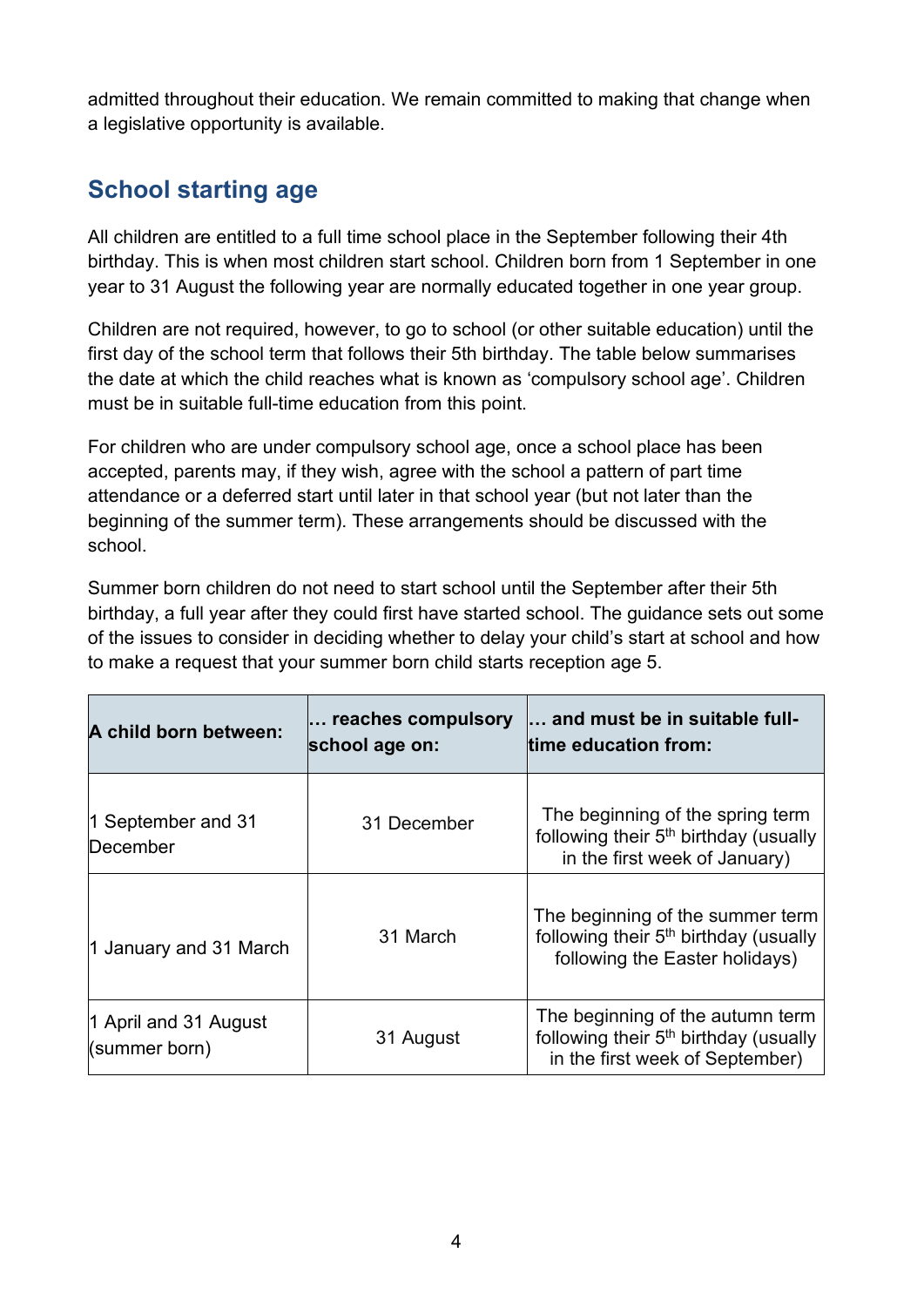admitted throughout their education. We remain committed to making that change when a legislative opportunity is available.

# <span id="page-3-0"></span>**School starting age**

All children are entitled to a full time school place in the September following their 4th birthday. This is when most children start school. Children born from 1 September in one year to 31 August the following year are normally educated together in one year group.

Children are not required, however, to go to school (or other suitable education) until the first day of the school term that follows their 5th birthday. The table below summarises the date at which the child reaches what is known as 'compulsory school age'. Children must be in suitable full-time education from this point.

For children who are under compulsory school age, once a school place has been accepted, parents may, if they wish, agree with the school a pattern of part time attendance or a deferred start until later in that school year (but not later than the beginning of the summer term). These arrangements should be discussed with the school.

Summer born children do not need to start school until the September after their 5th birthday, a full year after they could first have started school. The guidance sets out some of the issues to consider in deciding whether to delay your child's start at school and how to make a request that your summer born child starts reception age 5.

| A child born between:                  | reaches compulsory<br>school age on: | and must be in suitable full-<br>time education from:                                                                    |
|----------------------------------------|--------------------------------------|--------------------------------------------------------------------------------------------------------------------------|
| 1 September and 31<br>December         | 31 December                          | The beginning of the spring term<br>following their 5 <sup>th</sup> birthday (usually<br>in the first week of January)   |
| 1 January and 31 March                 | 31 March                             | The beginning of the summer term<br>following their 5 <sup>th</sup> birthday (usually<br>following the Easter holidays)  |
| 1 April and 31 August<br>(summer born) | 31 August                            | The beginning of the autumn term<br>following their 5 <sup>th</sup> birthday (usually<br>in the first week of September) |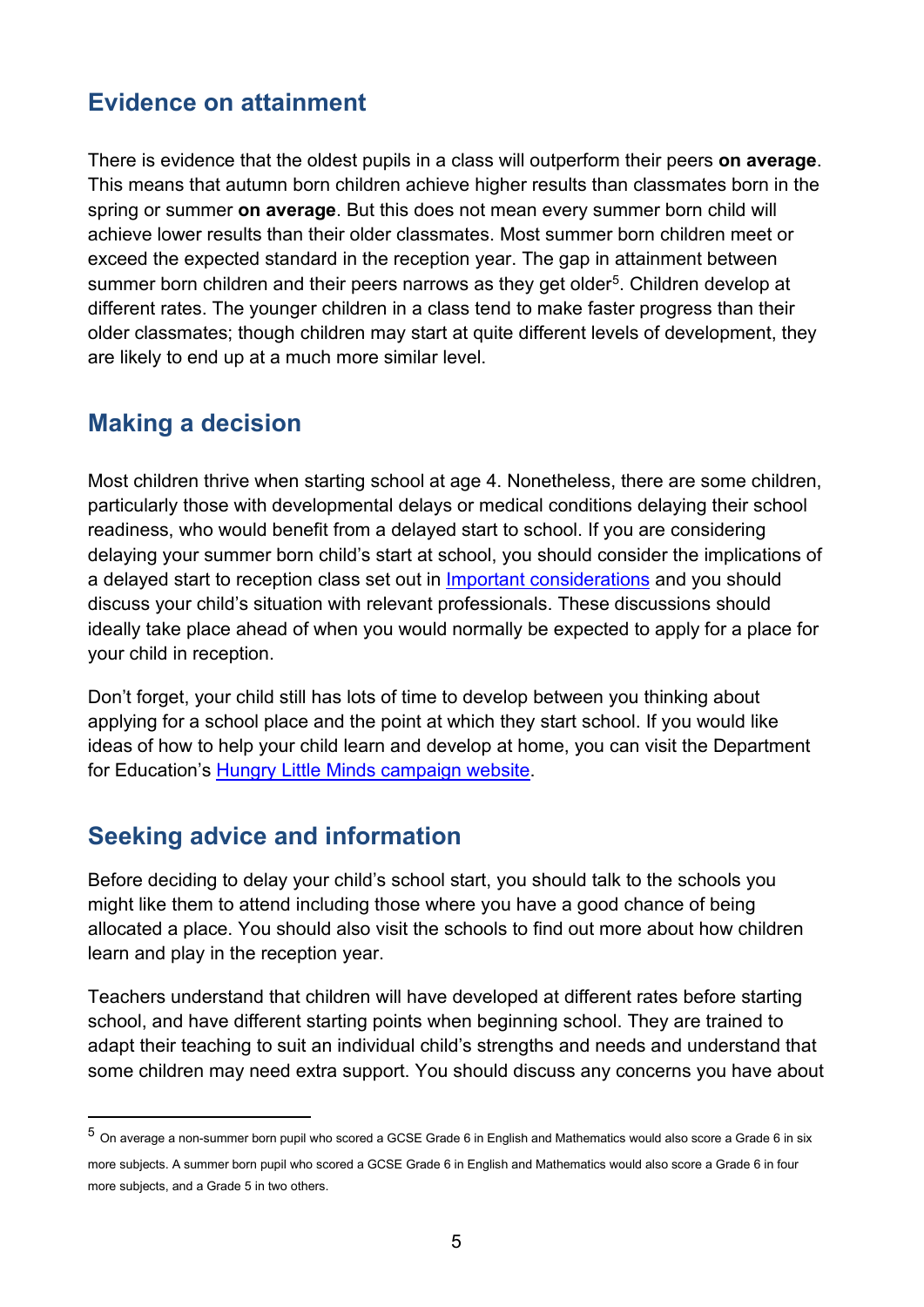#### <span id="page-4-0"></span>**Evidence on attainment**

There is evidence that the oldest pupils in a class will outperform their peers **on average**. This means that autumn born children achieve higher results than classmates born in the spring or summer **on average**. But this does not mean every summer born child will achieve lower results than their older classmates. Most summer born children meet or exceed the expected standard in the reception year. The gap in attainment between summer born children and their peers narrows as they get older<sup>[5](#page-4-3)</sup>. Children develop at different rates. The younger children in a class tend to make faster progress than their older classmates; though children may start at quite different levels of development, they are likely to end up at a much more similar level.

#### <span id="page-4-1"></span>**Making a decision**

Most children thrive when starting school at age 4. Nonetheless, there are some children, particularly those with developmental delays or medical conditions delaying their school readiness, who would benefit from a delayed start to school. If you are considering delaying your summer born child's start at school, you should consider the implications of a delayed start to reception class set out in [Important considerations](#page-14-1) and you should discuss your child's situation with relevant professionals. These discussions should ideally take place ahead of when you would normally be expected to apply for a place for your child in reception.

Don't forget, your child still has lots of time to develop between you thinking about applying for a school place and the point at which they start school. If you would like ideas of how to help your child learn and develop at home, you can visit the Department for Education's [Hungry Little Minds campaign website.](https://hungrylittleminds.campaign.gov.uk/)

#### <span id="page-4-2"></span>**Seeking advice and information**

Before deciding to delay your child's school start, you should talk to the schools you might like them to attend including those where you have a good chance of being allocated a place. You should also visit the schools to find out more about how children learn and play in the reception year.

Teachers understand that children will have developed at different rates before starting school, and have different starting points when beginning school. They are trained to adapt their teaching to suit an individual child's strengths and needs and understand that some children may need extra support. You should discuss any concerns you have about

<span id="page-4-3"></span><sup>5</sup> On average a non-summer born pupil who scored a GCSE Grade 6 in English and Mathematics would also score a Grade 6 in six

more subjects. A summer born pupil who scored a GCSE Grade 6 in English and Mathematics would also score a Grade 6 in four more subjects, and a Grade 5 in two others.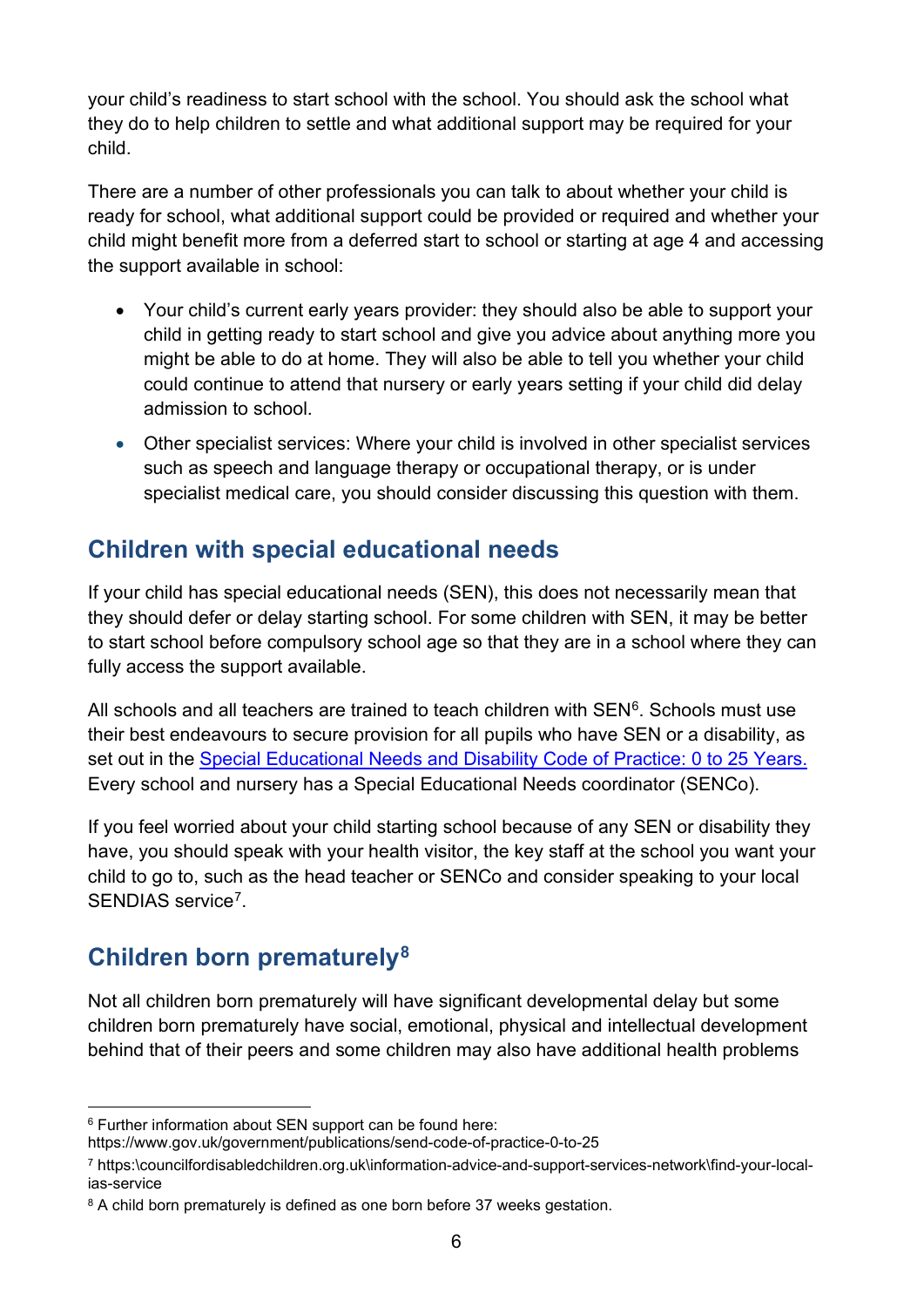your child's readiness to start school with the school. You should ask the school what they do to help children to settle and what additional support may be required for your child.

There are a number of other professionals you can talk to about whether your child is ready for school, what additional support could be provided or required and whether your child might benefit more from a deferred start to school or starting at age 4 and accessing the support available in school:

- Your child's current early years provider: they should also be able to support your child in getting ready to start school and give you advice about anything more you might be able to do at home. They will also be able to tell you whether your child could continue to attend that nursery or early years setting if your child did delay admission to school.
- Other specialist services: Where your child is involved in other specialist services such as speech and language therapy or occupational therapy, or is under specialist medical care, you should consider discussing this question with them.

### <span id="page-5-0"></span>**Children with special educational needs**

If your child has special educational needs (SEN), this does not necessarily mean that they should defer or delay starting school. For some children with SEN, it may be better to start school before compulsory school age so that they are in a school where they can fully access the support available.

All schools and all teachers are trained to teach children with  $\text{SEN}^6$ . Schools must use their best endeavours to secure provision for all pupils who have SEN or a disability, as set out in the [Special Educational Needs and Disability Code of Practice: 0 to 25 Years.](https://assets.publishing.service.gov.uk/government/uploads/system/uploads/attachment_data/file/398815/SEND_Code_of_Practice_January_2015.pdf) Every school and nursery has a Special Educational Needs coordinator (SENCo).

If you feel worried about your child starting school because of any SEN or disability they have, you should speak with your health visitor, the key staff at the school you want your child to go to, such as the head teacher or SENCo and consider speaking to your local SENDIAS service<sup>7</sup>

## <span id="page-5-1"></span>**Children born prematurely[8](#page-5-4)**

Not all children born prematurely will have significant developmental delay but some children born prematurely have social, emotional, physical and intellectual development behind that of their peers and some children may also have additional health problems

<span id="page-5-2"></span><sup>6</sup> Further information about SEN support can be found here:

https://www.gov.uk/government/publications/send-code-of-practice-0-to-25

<span id="page-5-3"></span><sup>7</sup> [https:\councilfordisabledchildren.org.uk\information-advice-and-support-services-network\find-your-local](https://councilfordisabledchildren.org.uk/information-advice-and-support-services-network/find-your-local-ias-service)[ias-service](https://councilfordisabledchildren.org.uk/information-advice-and-support-services-network/find-your-local-ias-service)

<span id="page-5-4"></span><sup>&</sup>lt;sup>8</sup> A child born prematurely is defined as one born before 37 weeks gestation.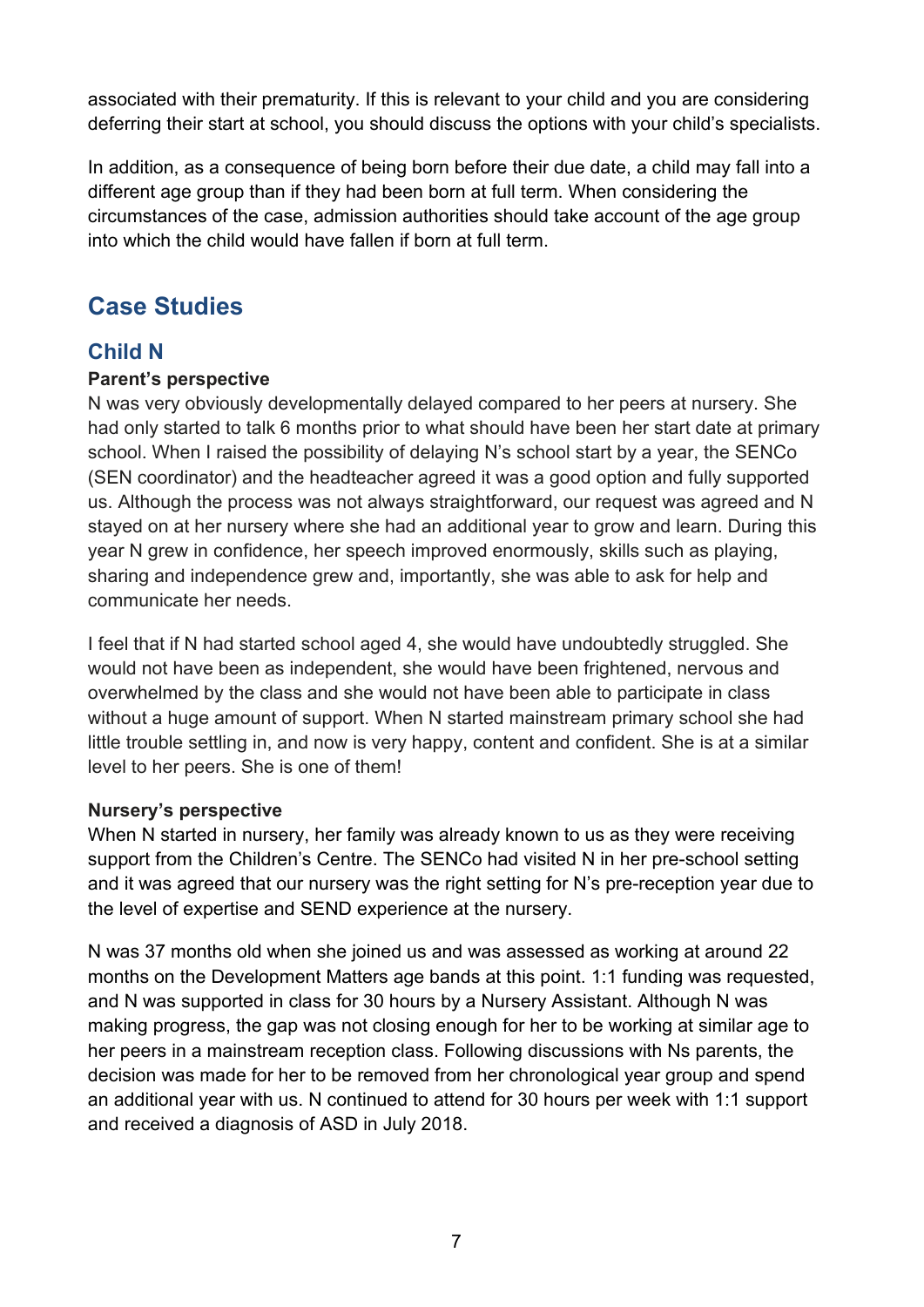associated with their prematurity. If this is relevant to your child and you are considering deferring their start at school, you should discuss the options with your child's specialists.

In addition, as a consequence of being born before their due date, a child may fall into a different age group than if they had been born at full term. When considering the circumstances of the case, admission authorities should take account of the age group into which the child would have fallen if born at full term.

## <span id="page-6-0"></span>**Case Studies**

#### **Child N**

#### **Parent's perspective**

N was very obviously developmentally delayed compared to her peers at nursery. She had only started to talk 6 months prior to what should have been her start date at primary school. When I raised the possibility of delaying N's school start by a year, the SENCo (SEN coordinator) and the headteacher agreed it was a good option and fully supported us. Although the process was not always straightforward, our request was agreed and N stayed on at her nursery where she had an additional year to grow and learn. During this year N grew in confidence, her speech improved enormously, skills such as playing, sharing and independence grew and, importantly, she was able to ask for help and communicate her needs.

I feel that if N had started school aged 4, she would have undoubtedly struggled. She would not have been as independent, she would have been frightened, nervous and overwhelmed by the class and she would not have been able to participate in class without a huge amount of support. When N started mainstream primary school she had little trouble settling in, and now is very happy, content and confident. She is at a similar level to her peers. She is one of them!

#### **Nursery's perspective**

When N started in nursery, her family was already known to us as they were receiving support from the Children's Centre. The SENCo had visited N in her pre-school setting and it was agreed that our nursery was the right setting for N's pre-reception year due to the level of expertise and SEND experience at the nursery.

N was 37 months old when she joined us and was assessed as working at around 22 months on the Development Matters age bands at this point. 1:1 funding was requested, and N was supported in class for 30 hours by a Nursery Assistant. Although N was making progress, the gap was not closing enough for her to be working at similar age to her peers in a mainstream reception class. Following discussions with Ns parents, the decision was made for her to be removed from her chronological year group and spend an additional year with us. N continued to attend for 30 hours per week with 1:1 support and received a diagnosis of ASD in July 2018.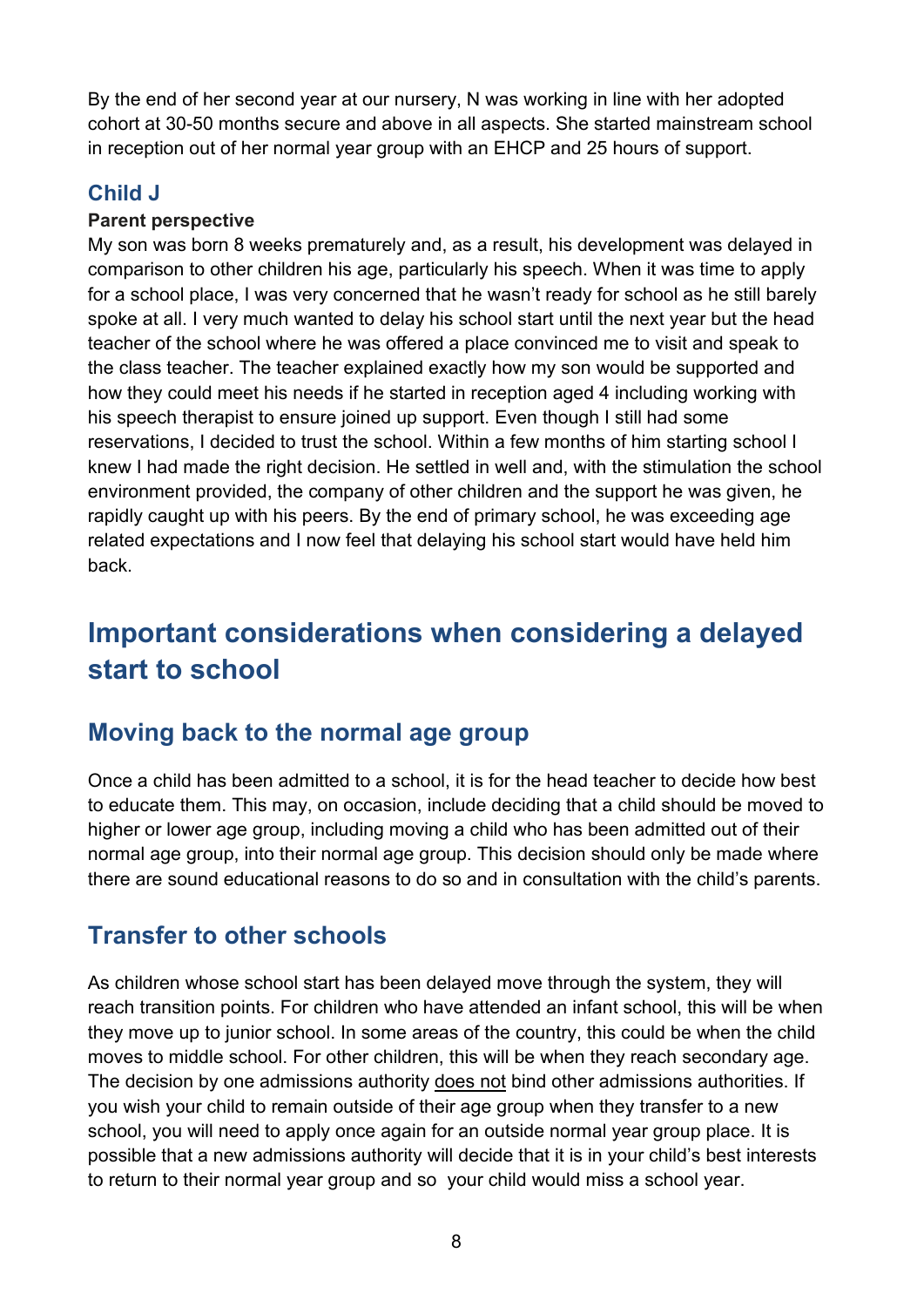By the end of her second year at our nursery, N was working in line with her adopted cohort at 30-50 months secure and above in all aspects. She started mainstream school in reception out of her normal year group with an EHCP and 25 hours of support.

#### **Child J**

#### **Parent perspective**

My son was born 8 weeks prematurely and, as a result, his development was delayed in comparison to other children his age, particularly his speech. When it was time to apply for a school place, I was very concerned that he wasn't ready for school as he still barely spoke at all. I very much wanted to delay his school start until the next year but the head teacher of the school where he was offered a place convinced me to visit and speak to the class teacher. The teacher explained exactly how my son would be supported and how they could meet his needs if he started in reception aged 4 including working with his speech therapist to ensure joined up support. Even though I still had some reservations, I decided to trust the school. Within a few months of him starting school I knew I had made the right decision. He settled in well and, with the stimulation the school environment provided, the company of other children and the support he was given, he rapidly caught up with his peers. By the end of primary school, he was exceeding age related expectations and I now feel that delaying his school start would have held him back.

# <span id="page-7-0"></span>**Important considerations when considering a delayed start to school**

#### <span id="page-7-1"></span>**Moving back to the normal age group**

Once a child has been admitted to a school, it is for the head teacher to decide how best to educate them. This may, on occasion, include deciding that a child should be moved to higher or lower age group, including moving a child who has been admitted out of their normal age group, into their normal age group. This decision should only be made where there are sound educational reasons to do so and in consultation with the child's parents.

#### <span id="page-7-2"></span>**Transfer to other schools**

As children whose school start has been delayed move through the system, they will reach transition points. For children who have attended an infant school, this will be when they move up to junior school. In some areas of the country, this could be when the child moves to middle school. For other children, this will be when they reach secondary age. The decision by one admissions authority does not bind other admissions authorities. If you wish your child to remain outside of their age group when they transfer to a new school, you will need to apply once again for an outside normal year group place. It is possible that a new admissions authority will decide that it is in your child's best interests to return to their normal year group and so your child would miss a school year.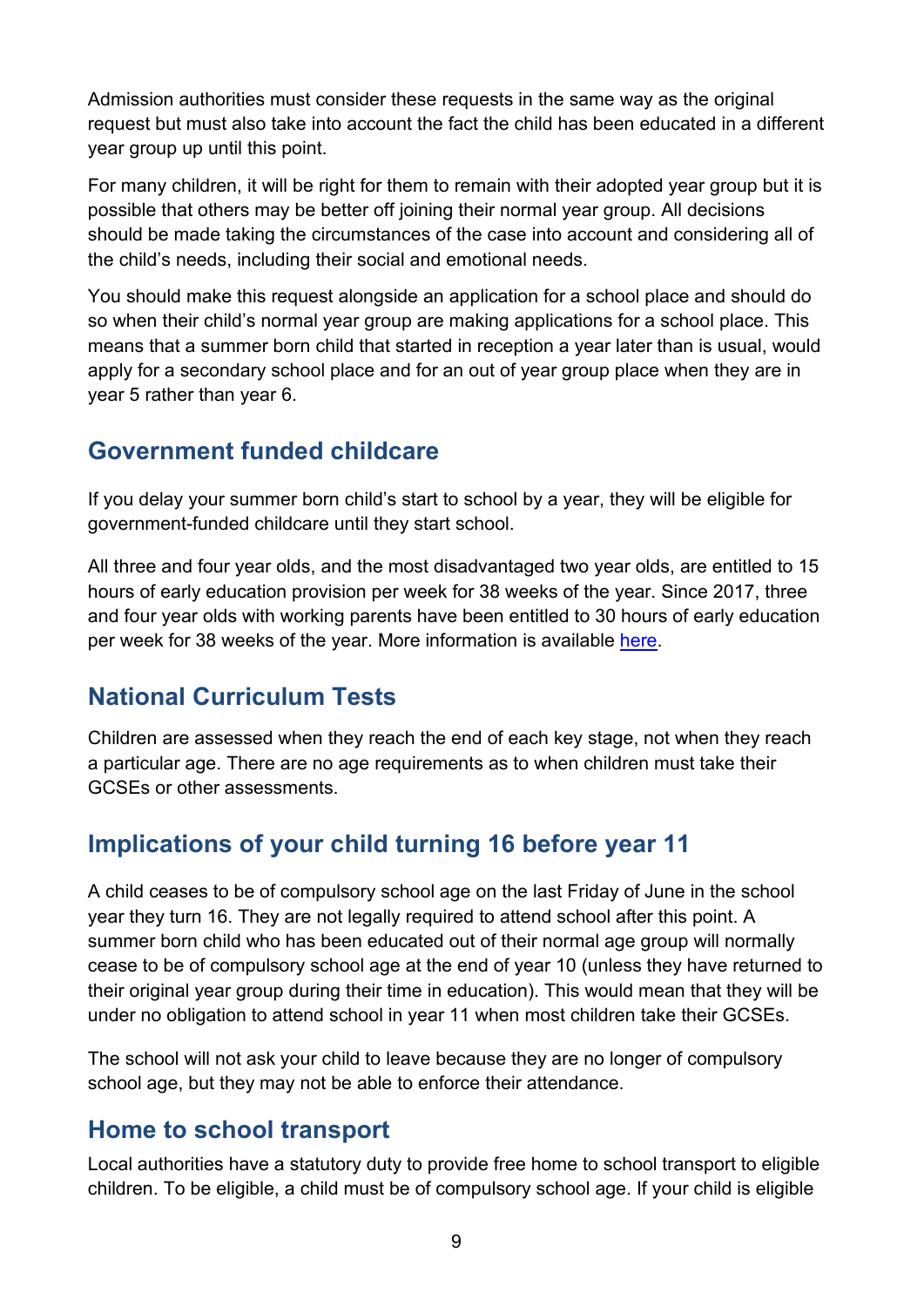Admission authorities must consider these requests in the same way as the original request but must also take into account the fact the child has been educated in a different year group up until this point.

For many children, it will be right for them to remain with their adopted year group but it is possible that others may be better off joining their normal year group. All decisions should be made taking the circumstances of the case into account and considering all of the child's needs, including their social and emotional needs.

You should make this request alongside an application for a school place and should do so when their child's normal year group are making applications for a school place. This means that a summer born child that started in reception a year later than is usual, would apply for a secondary school place and for an out of year group place when they are in year 5 rather than year 6.

### <span id="page-8-0"></span>**Government funded childcare**

If you delay your summer born child's start to school by a year, they will be eligible for government-funded childcare until they start school.

All three and four year olds, and the most disadvantaged two year olds, are entitled to 15 hours of early education provision per week for 38 weeks of the year. Since 2017, three and four year olds with working parents have been entitled to 30 hours of early education per week for 38 weeks of the year. More information is available [here.](http://www.gov.uk/help-with-childcare-costs/free-childcare-and-education-for-2-to-4-year-olds)

## <span id="page-8-1"></span>**National Curriculum Tests**

Children are assessed when they reach the end of each key stage, not when they reach a particular age. There are no age requirements as to when children must take their GCSEs or other assessments.

## <span id="page-8-2"></span>**Implications of your child turning 16 before year 11**

A child ceases to be of compulsory school age on the last Friday of June in the school year they turn 16. They are not legally required to attend school after this point. A summer born child who has been educated out of their normal age group will normally cease to be of compulsory school age at the end of year 10 (unless they have returned to their original year group during their time in education). This would mean that they will be under no obligation to attend school in year 11 when most children take their GCSEs.

The school will not ask your child to leave because they are no longer of compulsory school age, but they may not be able to enforce their attendance.

#### **Home to school transport**

Local authorities have a statutory duty to provide free home to school transport to eligible children. To be eligible, a child must be of compulsory school age. If your child is eligible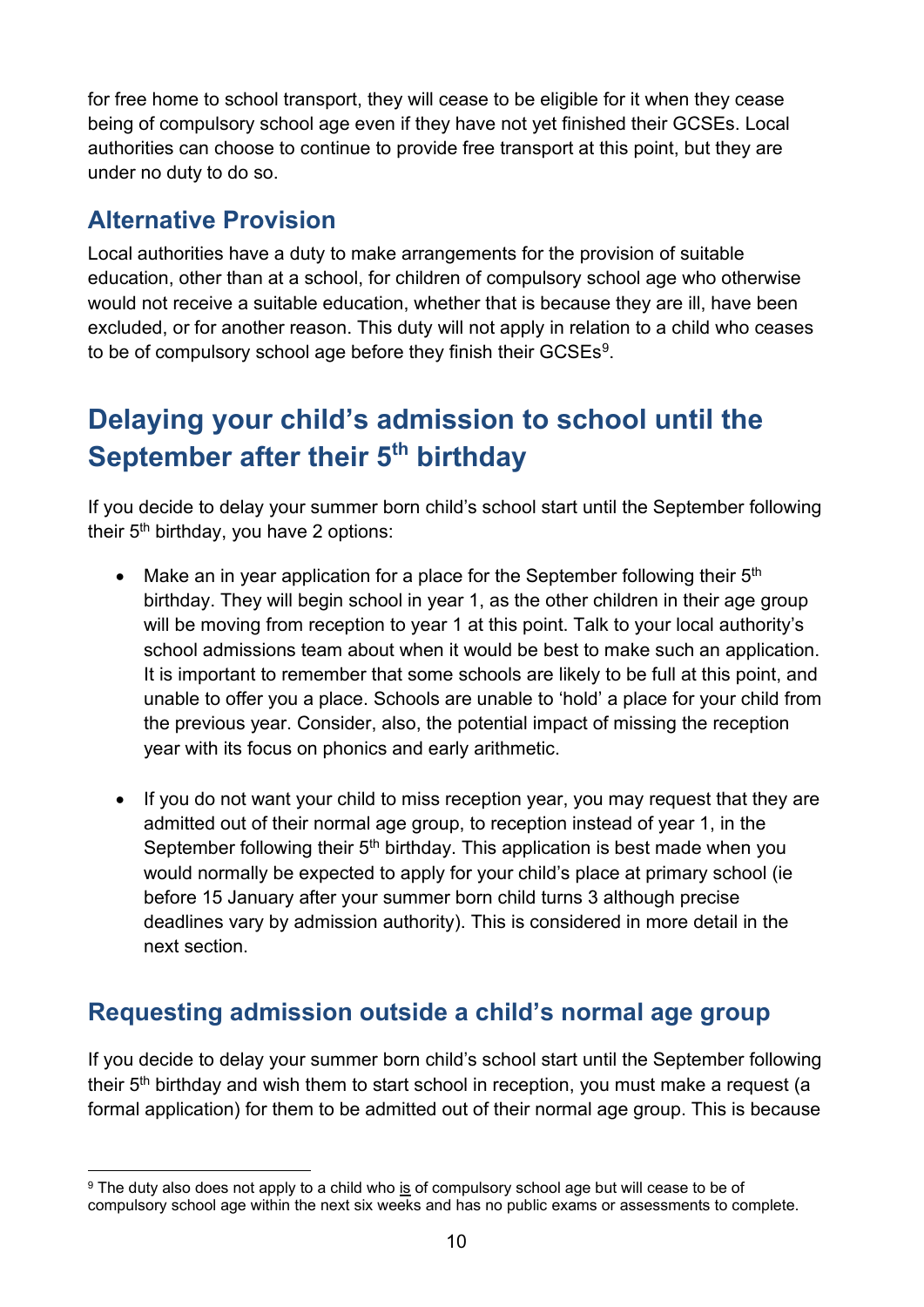for free home to school transport, they will cease to be eligible for it when they cease being of compulsory school age even if they have not yet finished their GCSEs. Local authorities can choose to continue to provide free transport at this point, but they are under no duty to do so.

#### **Alternative Provision**

Local authorities have a duty to make arrangements for the provision of suitable education, other than at a school, for children of compulsory school age who otherwise would not receive a suitable education, whether that is because they are ill, have been excluded, or for another reason. This duty will not apply in relation to a child who ceases to be of compulsory school age before they finish their GCSEs<sup>9</sup>.

# <span id="page-9-0"></span>**Delaying your child's admission to school until the September after their 5th birthday**

If you decide to delay your summer born child's school start until the September following their 5th birthday, you have 2 options:

- Make an in year application for a place for the September following their  $5<sup>th</sup>$ birthday. They will begin school in year 1, as the other children in their age group will be moving from reception to year 1 at this point. Talk to your local authority's school admissions team about when it would be best to make such an application. It is important to remember that some schools are likely to be full at this point, and unable to offer you a place. Schools are unable to 'hold' a place for your child from the previous year. Consider, also, the potential impact of missing the reception year with its focus on phonics and early arithmetic.
- If you do not want your child to miss reception year, you may request that they are admitted out of their normal age group, to reception instead of year 1, in the September following their  $5<sup>th</sup>$  birthday. This application is best made when you would normally be expected to apply for your child's place at primary school (ie before 15 January after your summer born child turns 3 although precise deadlines vary by admission authority). This is considered in more detail in the next section.

#### <span id="page-9-1"></span>**Requesting admission outside a child's normal age group**

If you decide to delay your summer born child's school start until the September following their  $5<sup>th</sup>$  birthday and wish them to start school in reception, you must make a request (a formal application) for them to be admitted out of their normal age group. This is because

<span id="page-9-2"></span><sup>&</sup>lt;sup>9</sup> The duty also does not apply to a child who is of compulsory school age but will cease to be of compulsory school age within the next six weeks and has no public exams or assessments to complete.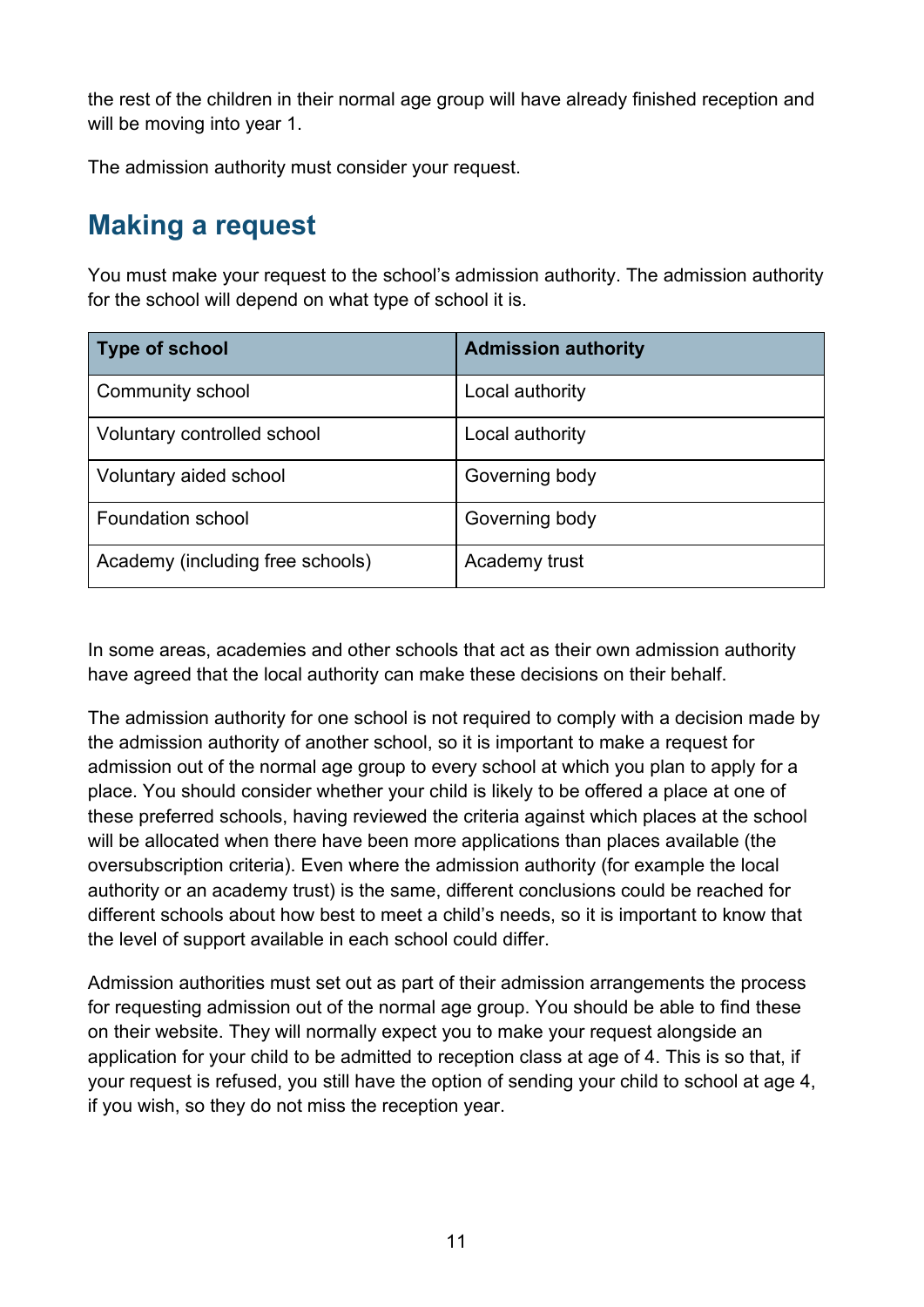the rest of the children in their normal age group will have already finished reception and will be moving into year 1.

The admission authority must consider your request.

# <span id="page-10-0"></span>**Making a request**

You must make your request to the school's admission authority. The admission authority for the school will depend on what type of school it is.

| <b>Type of school</b>            | <b>Admission authority</b> |
|----------------------------------|----------------------------|
| Community school                 | Local authority            |
| Voluntary controlled school      | Local authority            |
| Voluntary aided school           | Governing body             |
| <b>Foundation school</b>         | Governing body             |
| Academy (including free schools) | Academy trust              |

In some areas, academies and other schools that act as their own admission authority have agreed that the local authority can make these decisions on their behalf.

The admission authority for one school is not required to comply with a decision made by the admission authority of another school, so it is important to make a request for admission out of the normal age group to every school at which you plan to apply for a place. You should consider whether your child is likely to be offered a place at one of these preferred schools, having reviewed the criteria against which places at the school will be allocated when there have been more applications than places available (the oversubscription criteria). Even where the admission authority (for example the local authority or an academy trust) is the same, different conclusions could be reached for different schools about how best to meet a child's needs, so it is important to know that the level of support available in each school could differ.

Admission authorities must set out as part of their admission arrangements the process for requesting admission out of the normal age group. You should be able to find these on their website. They will normally expect you to make your request alongside an application for your child to be admitted to reception class at age of 4. This is so that, if your request is refused, you still have the option of sending your child to school at age 4, if you wish, so they do not miss the reception year.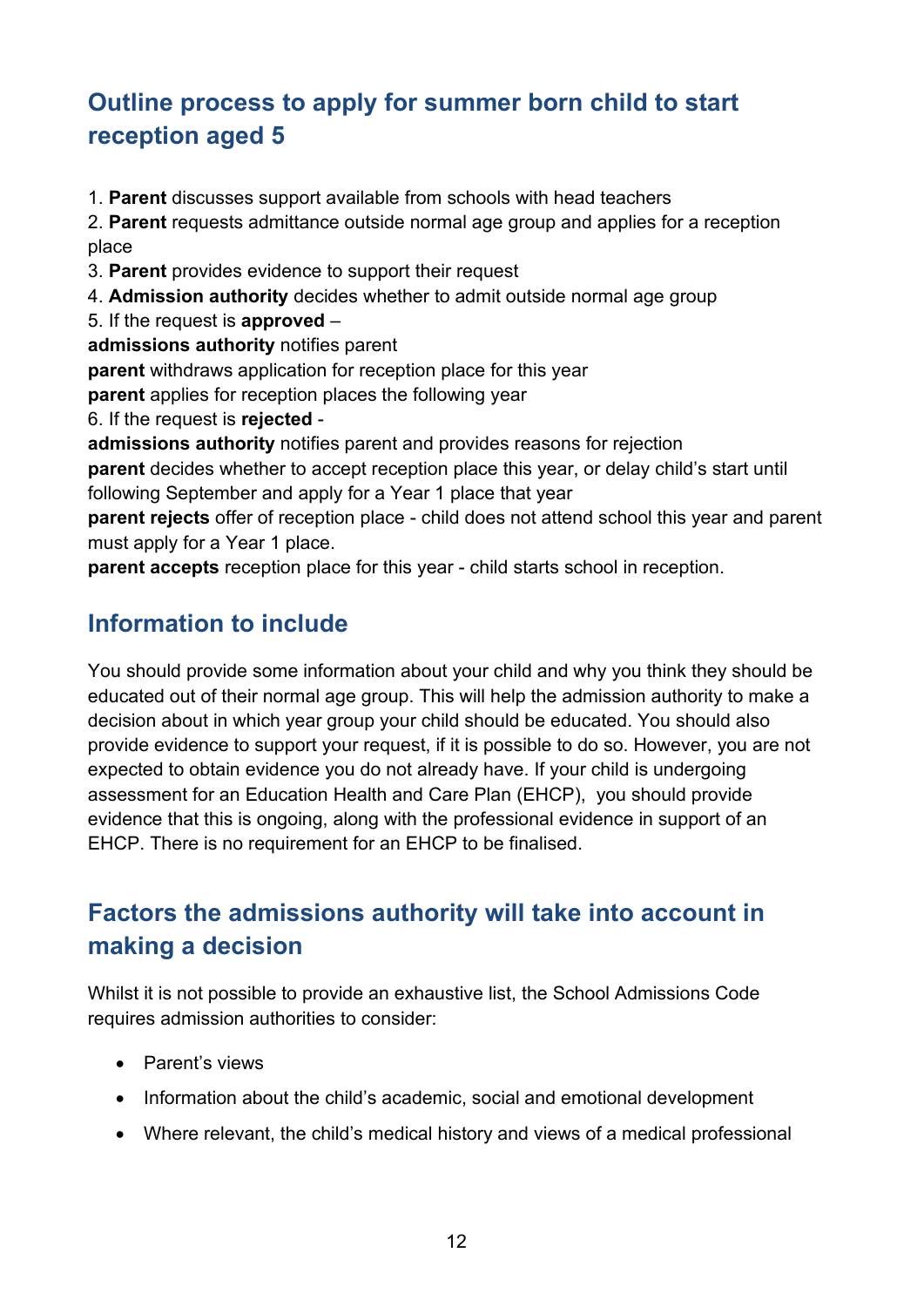# **Outline process to apply for summer born child to start reception aged 5**

1. **Parent** discusses support available from schools with head teachers

2. **Parent** requests admittance outside normal age group and applies for a reception place

- 3. **Parent** provides evidence to support their request
- 4. **Admission authority** decides whether to admit outside normal age group
- 5. If the request is **approved** –

**admissions authority** notifies parent

**parent** withdraws application for reception place for this year

**parent** applies for reception places the following year

6. If the request is **rejected** -

**admissions authority** notifies parent and provides reasons for rejection

**parent** decides whether to accept reception place this year, or delay child's start until following September and apply for a Year 1 place that year

**parent rejects** offer of reception place - child does not attend school this year and parent must apply for a Year 1 place.

**parent accepts** reception place for this year - child starts school in reception.

#### <span id="page-11-0"></span>**Information to include**

You should provide some information about your child and why you think they should be educated out of their normal age group. This will help the admission authority to make a decision about in which year group your child should be educated. You should also provide evidence to support your request, if it is possible to do so. However, you are not expected to obtain evidence you do not already have. If your child is undergoing assessment for an Education Health and Care Plan (EHCP), you should provide evidence that this is ongoing, along with the professional evidence in support of an EHCP. There is no requirement for an EHCP to be finalised.

## **Factors the admissions authority will take into account in making a decision**

Whilst it is not possible to provide an exhaustive list, the School Admissions Code requires admission authorities to consider:

- Parent's views
- Information about the child's academic, social and emotional development
- Where relevant, the child's medical history and views of a medical professional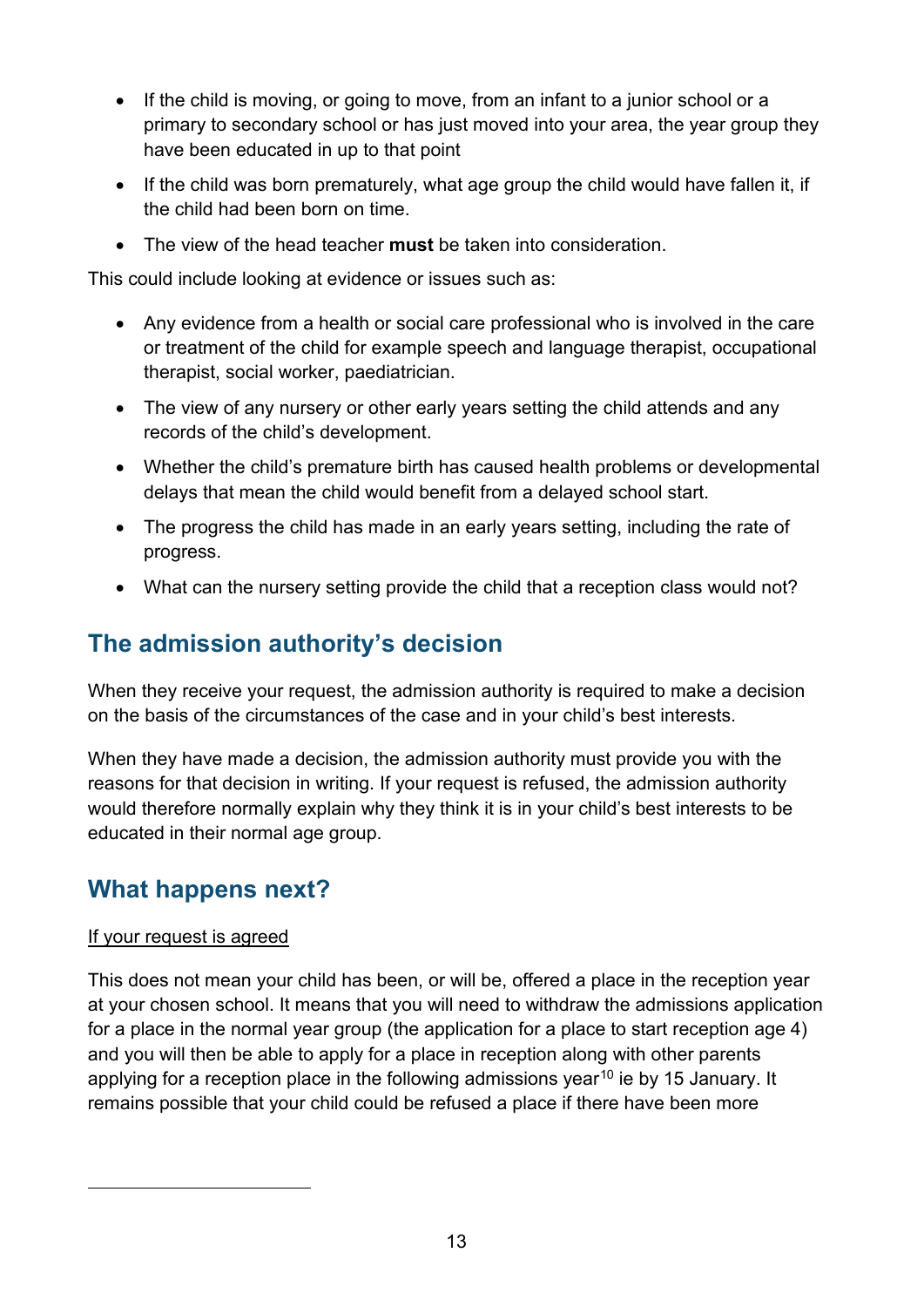- If the child is moving, or going to move, from an infant to a junior school or a primary to secondary school or has just moved into your area, the year group they have been educated in up to that point
- If the child was born prematurely, what age group the child would have fallen it, if the child had been born on time.
- The view of the head teacher **must** be taken into consideration.

This could include looking at evidence or issues such as:

- Any evidence from a health or social care professional who is involved in the care or treatment of the child for example speech and language therapist, occupational therapist, social worker, paediatrician.
- The view of any nursery or other early years setting the child attends and any records of the child's development.
- Whether the child's premature birth has caused health problems or developmental delays that mean the child would benefit from a delayed school start.
- The progress the child has made in an early years setting, including the rate of progress.
- What can the nursery setting provide the child that a reception class would not?

#### <span id="page-12-0"></span>**The admission authority's decision**

When they receive your request, the admission authority is required to make a decision on the basis of the circumstances of the case and in your child's best interests.

When they have made a decision, the admission authority must provide you with the reasons for that decision in writing. If your request is refused, the admission authority would therefore normally explain why they think it is in your child's best interests to be educated in their normal age group.

#### <span id="page-12-1"></span>**What happens next?**

#### If your request is agreed

<span id="page-12-2"></span>This does not mean your child has been, or will be, offered a place in the reception year at your chosen school. It means that you will need to withdraw the admissions application for a place in the normal year group (the application for a place to start reception age 4) and you will then be able to apply for a place in reception along with other parents applying for a reception place in the following admissions year<sup>[10](#page-12-2)</sup> ie by 15 January. It remains possible that your child could be refused a place if there have been more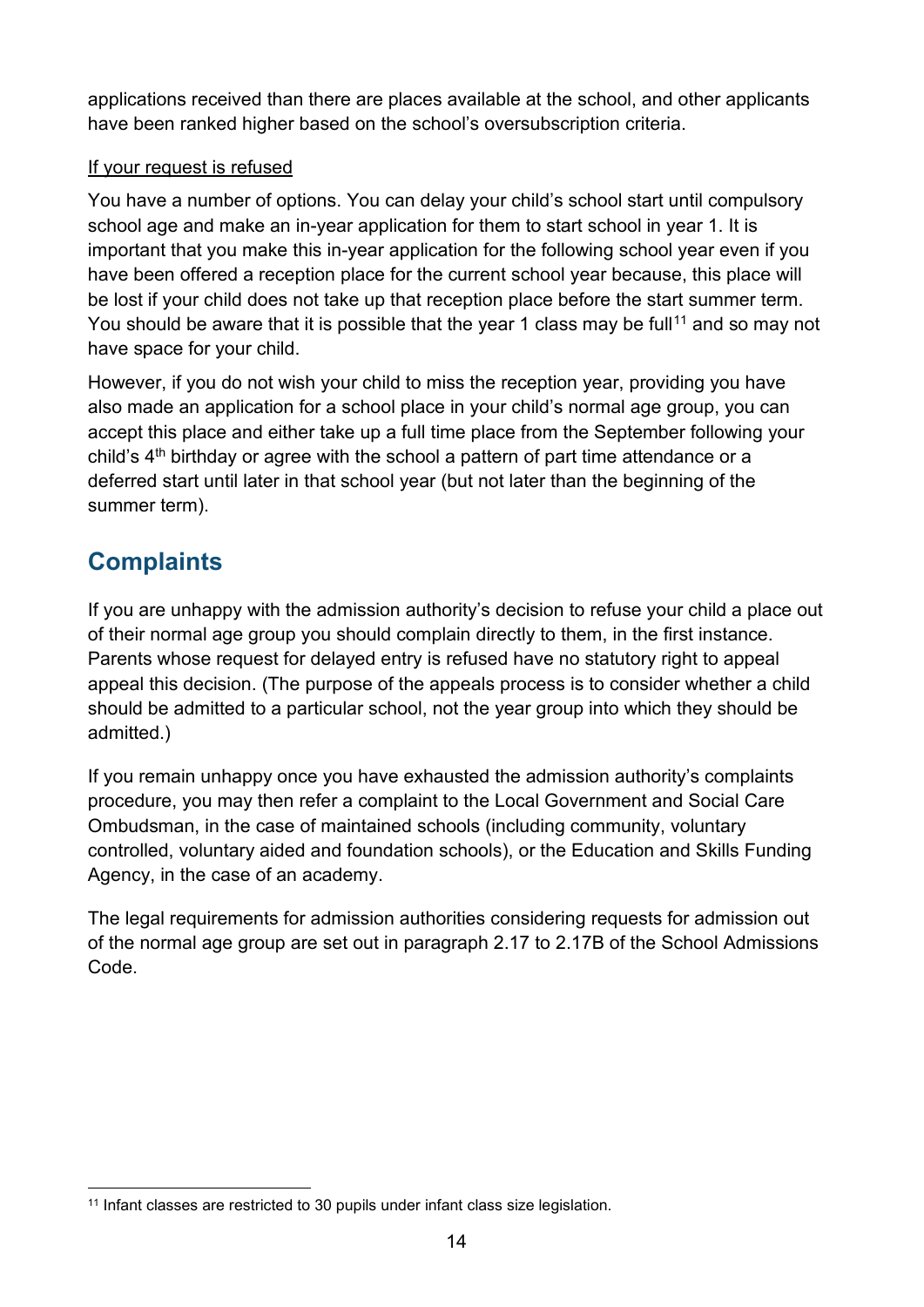applications received than there are places available at the school, and other applicants have been ranked higher based on the school's oversubscription criteria.

#### If your request is refused

You have a number of options. You can delay your child's school start until compulsory school age and make an in-year application for them to start school in year 1. It is important that you make this in-year application for the following school year even if you have been offered a reception place for the current school year because, this place will be lost if your child does not take up that reception place before the start summer term. You should be aware that it is possible that the year 1 class may be full<sup>[11](#page-13-1)</sup> and so may not have space for your child.

However, if you do not wish your child to miss the reception year, providing you have also made an application for a school place in your child's normal age group, you can accept this place and either take up a full time place from the September following your child's  $4<sup>th</sup>$  birthday or agree with the school a pattern of part time attendance or a deferred start until later in that school year (but not later than the beginning of the summer term).

### <span id="page-13-0"></span>**Complaints**

If you are unhappy with the admission authority's decision to refuse your child a place out of their normal age group you should complain directly to them, in the first instance. Parents whose request for delayed entry is refused have no statutory right to appeal appeal this decision. (The purpose of the appeals process is to consider whether a child should be admitted to a particular school, not the year group into which they should be admitted.)

If you remain unhappy once you have exhausted the admission authority's complaints procedure, you may then refer a complaint to the [Local Government and Social Care](https://www.lgo.org.uk/make-a-complaint)  [Ombudsman,](https://www.lgo.org.uk/make-a-complaint) in the case of maintained schools (including community, voluntary controlled, voluntary aided and foundation schools), or the [Education and Skills Funding](https://www.gov.uk/government/publications/complain-about-an-academy)  [Agency,](https://www.gov.uk/government/publications/complain-about-an-academy) in the case of an academy.

The legal requirements for admission authorities considering requests for admission out of the normal age group are set out in paragraph 2.17 to 2.17B of the [School Admissions](https://www.gov.uk/government/publications/school-admissions-code--2)  [Code.](https://www.gov.uk/government/publications/school-admissions-code--2)

<span id="page-13-1"></span><sup>&</sup>lt;sup>11</sup> Infant classes are restricted to 30 pupils under infant class size legislation.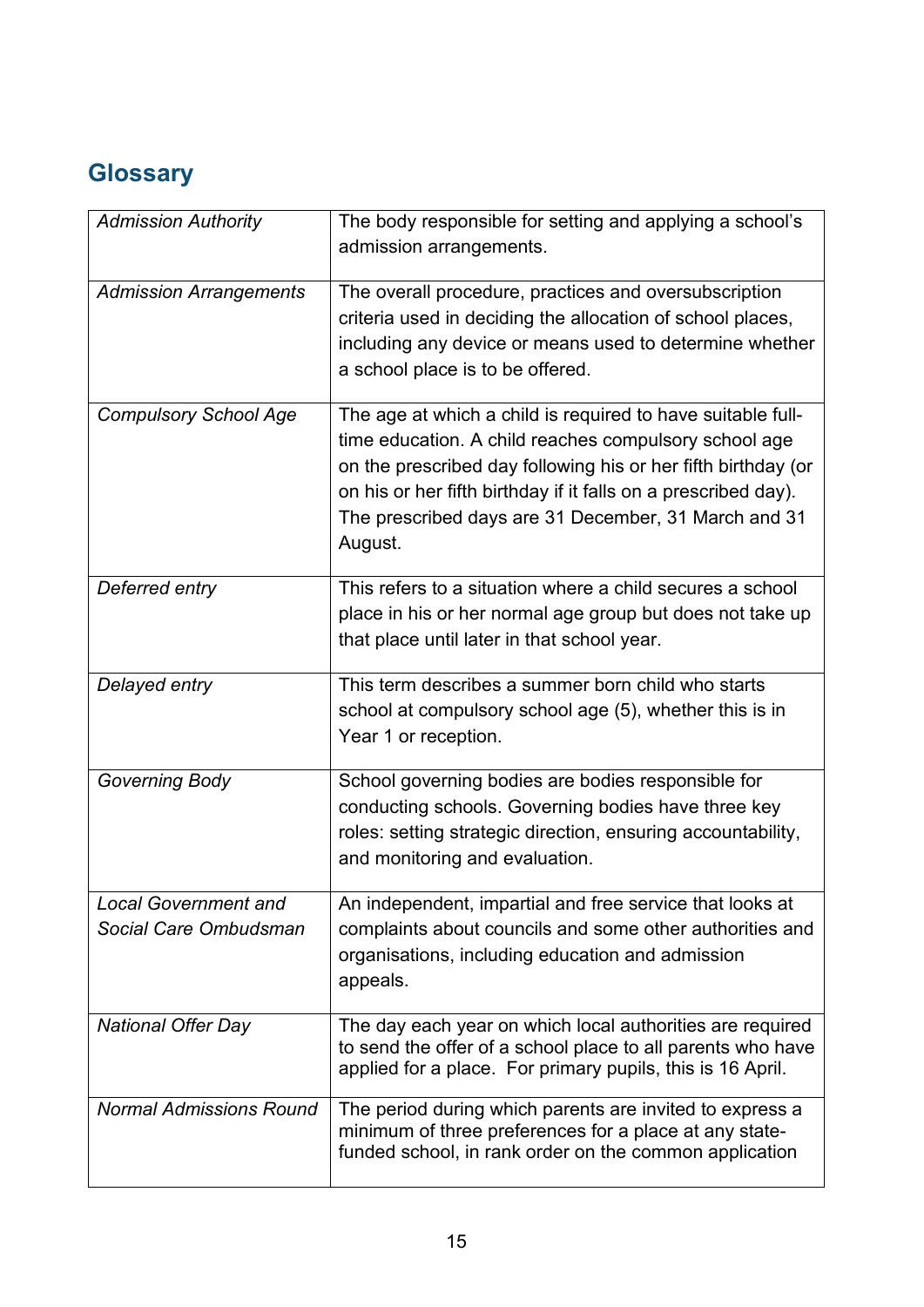# <span id="page-14-1"></span><span id="page-14-0"></span>**Glossary**

| <b>Admission Authority</b>                           | The body responsible for setting and applying a school's<br>admission arrangements.                                                                                                                                                                                                                                        |
|------------------------------------------------------|----------------------------------------------------------------------------------------------------------------------------------------------------------------------------------------------------------------------------------------------------------------------------------------------------------------------------|
| <b>Admission Arrangements</b>                        | The overall procedure, practices and oversubscription<br>criteria used in deciding the allocation of school places,<br>including any device or means used to determine whether<br>a school place is to be offered.                                                                                                         |
| <b>Compulsory School Age</b>                         | The age at which a child is required to have suitable full-<br>time education. A child reaches compulsory school age<br>on the prescribed day following his or her fifth birthday (or<br>on his or her fifth birthday if it falls on a prescribed day).<br>The prescribed days are 31 December, 31 March and 31<br>August. |
| Deferred entry                                       | This refers to a situation where a child secures a school<br>place in his or her normal age group but does not take up<br>that place until later in that school year.                                                                                                                                                      |
| Delayed entry                                        | This term describes a summer born child who starts<br>school at compulsory school age (5), whether this is in<br>Year 1 or reception.                                                                                                                                                                                      |
| <b>Governing Body</b>                                | School governing bodies are bodies responsible for<br>conducting schools. Governing bodies have three key<br>roles: setting strategic direction, ensuring accountability,<br>and monitoring and evaluation.                                                                                                                |
| <b>Local Government and</b><br>Social Care Ombudsman | An independent, impartial and free service that looks at<br>complaints about councils and some other authorities and<br>organisations, including education and admission<br>appeals.                                                                                                                                       |
| <b>National Offer Day</b>                            | The day each year on which local authorities are required<br>to send the offer of a school place to all parents who have<br>applied for a place. For primary pupils, this is 16 April.                                                                                                                                     |
| <b>Normal Admissions Round</b>                       | The period during which parents are invited to express a<br>minimum of three preferences for a place at any state-<br>funded school, in rank order on the common application                                                                                                                                               |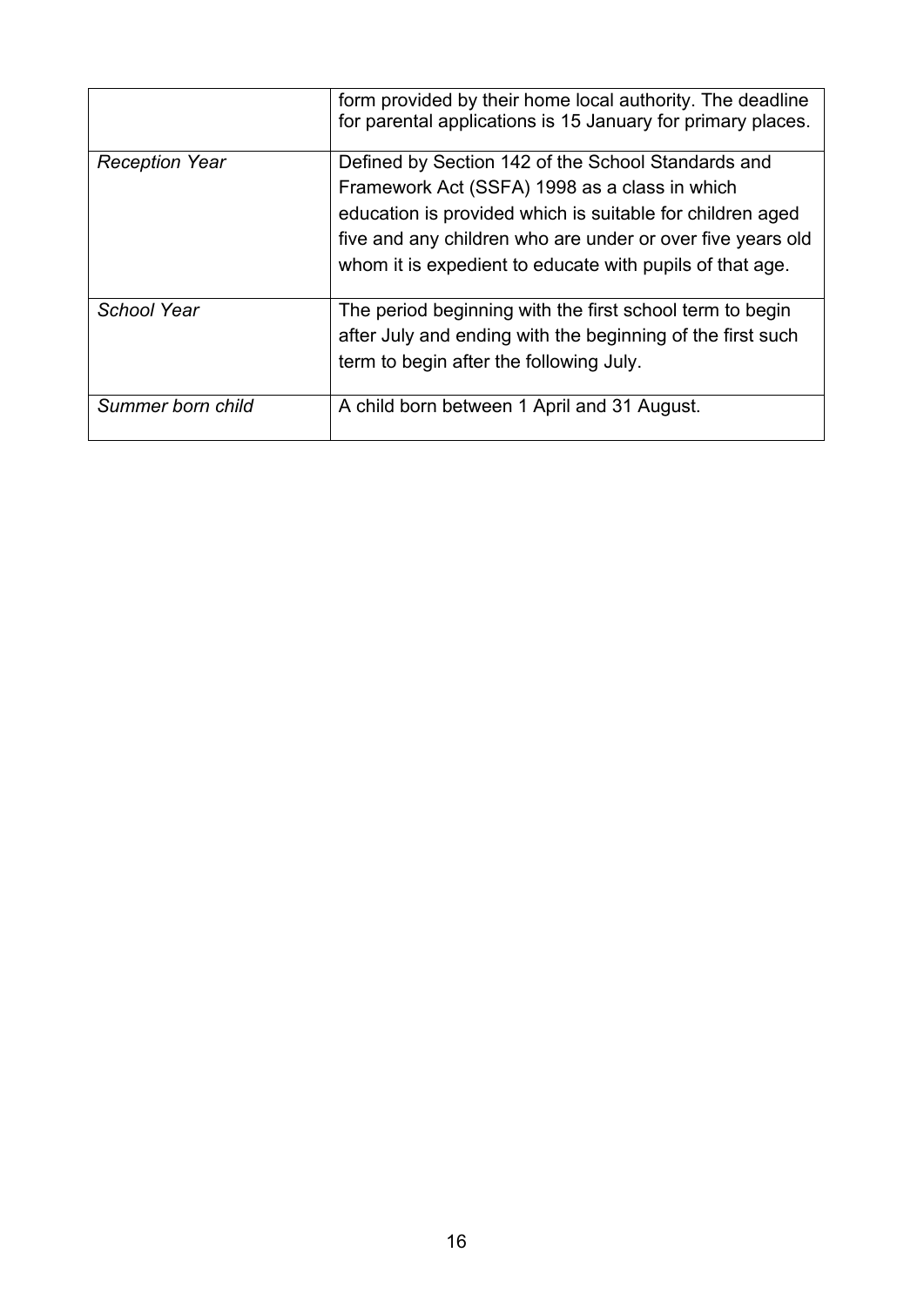|                       | form provided by their home local authority. The deadline<br>for parental applications is 15 January for primary places.                                                                                                                                                                   |
|-----------------------|--------------------------------------------------------------------------------------------------------------------------------------------------------------------------------------------------------------------------------------------------------------------------------------------|
| <b>Reception Year</b> | Defined by Section 142 of the School Standards and<br>Framework Act (SSFA) 1998 as a class in which<br>education is provided which is suitable for children aged<br>five and any children who are under or over five years old<br>whom it is expedient to educate with pupils of that age. |
| School Year           | The period beginning with the first school term to begin<br>after July and ending with the beginning of the first such<br>term to begin after the following July.                                                                                                                          |
| Summer born child     | A child born between 1 April and 31 August.                                                                                                                                                                                                                                                |